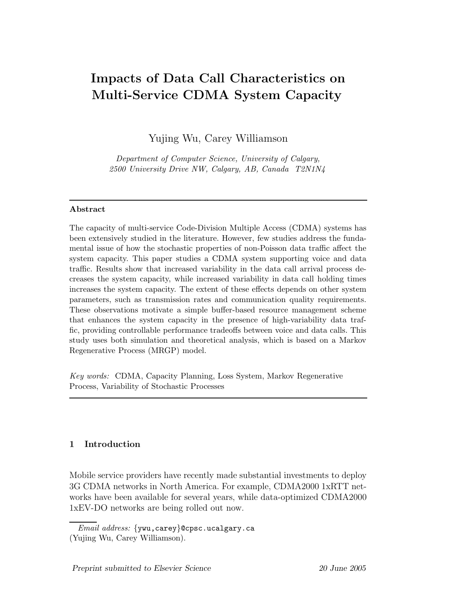# Impacts of Data Call Characteristics on Multi-Service CDMA System Capacity

Yujing Wu, Carey Williamson

Department of Computer Science, University of Calgary, 2500 University Drive NW, Calgary, AB, Canada T2N1N4

# Abstract

The capacity of multi-service Code-Division Multiple Access (CDMA) systems has been extensively studied in the literature. However, few studies address the fundamental issue of how the stochastic properties of non-Poisson data traffic affect the system capacity. This paper studies a CDMA system supporting voice and data traffic. Results show that increased variability in the data call arrival process decreases the system capacity, while increased variability in data call holding times increases the system capacity. The extent of these effects depends on other system parameters, such as transmission rates and communication quality requirements. These observations motivate a simple buffer-based resource management scheme that enhances the system capacity in the presence of high-variability data traffic, providing controllable performance tradeoffs between voice and data calls. This study uses both simulation and theoretical analysis, which is based on a Markov Regenerative Process (MRGP) model.

Key words: CDMA, Capacity Planning, Loss System, Markov Regenerative Process, Variability of Stochastic Processes

# 1 Introduction

Mobile service providers have recently made substantial investments to deploy 3G CDMA networks in North America. For example, CDMA2000 1xRTT networks have been available for several years, while data-optimized CDMA2000 1xEV-DO networks are being rolled out now.

Email address: {ywu,carey}@cpsc.ucalgary.ca (Yujing Wu, Carey Williamson).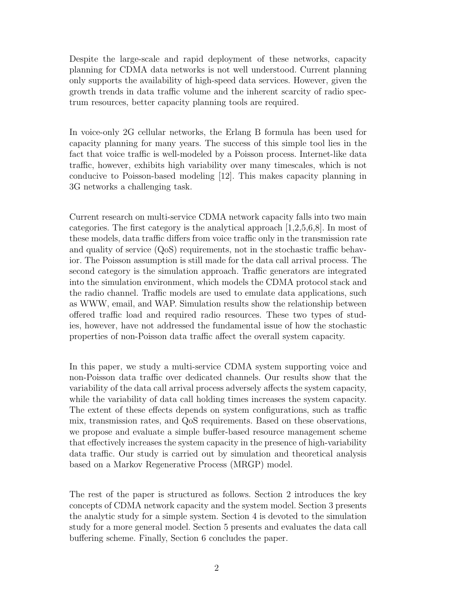Despite the large-scale and rapid deployment of these networks, capacity planning for CDMA data networks is not well understood. Current planning only supports the availability of high-speed data services. However, given the growth trends in data traffic volume and the inherent scarcity of radio spectrum resources, better capacity planning tools are required.

In voice-only 2G cellular networks, the Erlang B formula has been used for capacity planning for many years. The success of this simple tool lies in the fact that voice traffic is well-modeled by a Poisson process. Internet-like data traffic, however, exhibits high variability over many timescales, which is not conducive to Poisson-based modeling [12]. This makes capacity planning in 3G networks a challenging task.

Current research on multi-service CDMA network capacity falls into two main categories. The first category is the analytical approach [1,2,5,6,8]. In most of these models, data traffic differs from voice traffic only in the transmission rate and quality of service (QoS) requirements, not in the stochastic traffic behavior. The Poisson assumption is still made for the data call arrival process. The second category is the simulation approach. Traffic generators are integrated into the simulation environment, which models the CDMA protocol stack and the radio channel. Traffic models are used to emulate data applications, such as WWW, email, and WAP. Simulation results show the relationship between offered traffic load and required radio resources. These two types of studies, however, have not addressed the fundamental issue of how the stochastic properties of non-Poisson data traffic affect the overall system capacity.

In this paper, we study a multi-service CDMA system supporting voice and non-Poisson data traffic over dedicated channels. Our results show that the variability of the data call arrival process adversely affects the system capacity, while the variability of data call holding times increases the system capacity. The extent of these effects depends on system configurations, such as traffic mix, transmission rates, and QoS requirements. Based on these observations, we propose and evaluate a simple buffer-based resource management scheme that effectively increases the system capacity in the presence of high-variability data traffic. Our study is carried out by simulation and theoretical analysis based on a Markov Regenerative Process (MRGP) model.

The rest of the paper is structured as follows. Section 2 introduces the key concepts of CDMA network capacity and the system model. Section 3 presents the analytic study for a simple system. Section 4 is devoted to the simulation study for a more general model. Section 5 presents and evaluates the data call buffering scheme. Finally, Section 6 concludes the paper.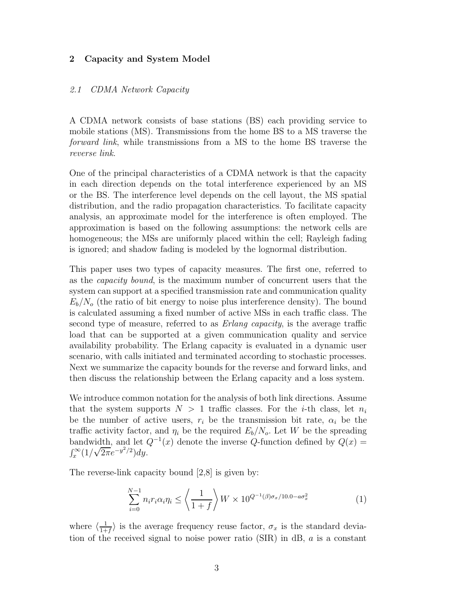# 2 Capacity and System Model

#### 2.1 CDMA Network Capacity

A CDMA network consists of base stations (BS) each providing service to mobile stations (MS). Transmissions from the home BS to a MS traverse the forward link, while transmissions from a MS to the home BS traverse the reverse link.

One of the principal characteristics of a CDMA network is that the capacity in each direction depends on the total interference experienced by an MS or the BS. The interference level depends on the cell layout, the MS spatial distribution, and the radio propagation characteristics. To facilitate capacity analysis, an approximate model for the interference is often employed. The approximation is based on the following assumptions: the network cells are homogeneous; the MSs are uniformly placed within the cell; Rayleigh fading is ignored; and shadow fading is modeled by the lognormal distribution.

This paper uses two types of capacity measures. The first one, referred to as the capacity bound, is the maximum number of concurrent users that the system can support at a specified transmission rate and communication quality  $E_b/N_o$  (the ratio of bit energy to noise plus interference density). The bound is calculated assuming a fixed number of active MSs in each traffic class. The second type of measure, referred to as Erlang capacity, is the average traffic load that can be supported at a given communication quality and service availability probability. The Erlang capacity is evaluated in a dynamic user scenario, with calls initiated and terminated according to stochastic processes. Next we summarize the capacity bounds for the reverse and forward links, and then discuss the relationship between the Erlang capacity and a loss system.

We introduce common notation for the analysis of both link directions. Assume that the system supports  $N > 1$  traffic classes. For the *i*-th class, let  $n_i$ be the number of active users,  $r_i$  be the transmission bit rate,  $\alpha_i$  be the traffic activity factor, and  $\eta_i$  be the required  $E_b/N_o$ . Let W be the spreading bandwidth, and let  $Q^{-1}(x)$  denote the inverse  $Q$ -function defined by  $Q(x) =$  $\int_x^\infty (1/\sqrt{2\pi}e^{-y^2/2}) dy.$ 

The reverse-link capacity bound [2,8] is given by:

$$
\sum_{i=0}^{N-1} n_i r_i \alpha_i \eta_i \le \left\langle \frac{1}{1+f} \right\rangle W \times 10^{Q^{-1}(\beta)\sigma_x/10.0 - a\sigma_x^2} \tag{1}
$$

where  $\langle \frac{1}{1+}$  $\frac{1}{1+f}$  is the average frequency reuse factor,  $\sigma_x$  is the standard deviation of the received signal to noise power ratio (SIR) in dB,  $a$  is a constant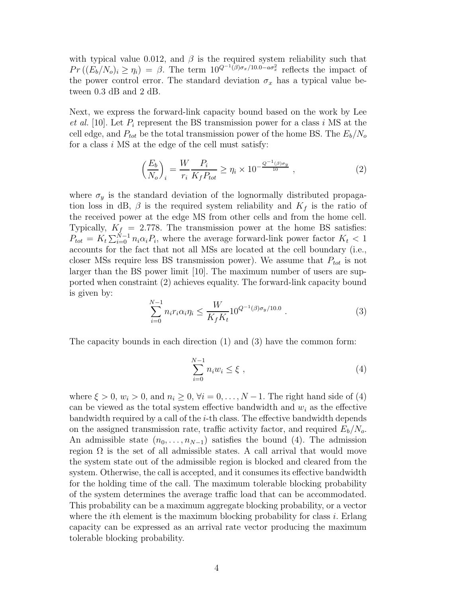with typical value 0.012, and  $\beta$  is the required system reliability such that  $Pr((E_b/N_o)_i \geq \eta_i) = \beta$ . The term  $10^{Q^{-1}(\beta)\sigma_x/10.0-a\sigma_x^2}$  reflects the impact of the power control error. The standard deviation  $\sigma_x$  has a typical value between 0.3 dB and 2 dB.

Next, we express the forward-link capacity bound based on the work by Lee *et al.* [10]. Let  $P_i$  represent the BS transmission power for a class i MS at the cell edge, and  $P_{tot}$  be the total transmission power of the home BS. The  $E_b/N_o$ for a class  $i$  MS at the edge of the cell must satisfy:

$$
\left(\frac{E_b}{N_o}\right)_i = \frac{W}{r_i} \frac{P_i}{K_f P_{tot}} \ge \eta_i \times 10^{-\frac{Q^{-1}(\beta)\sigma_y}{10}}\,,\tag{2}
$$

where  $\sigma_y$  is the standard deviation of the lognormally distributed propagation loss in dB,  $\beta$  is the required system reliability and  $K_f$  is the ratio of the received power at the edge MS from other cells and from the home cell. Typically,  $K_f = 2.778$ . The transmission power at the home BS satisfies:  $P_{tot} = K_t \sum_{i=0}^{N-1} n_i \alpha_i P_i$ , where the average forward-link power factor  $K_t < 1$ accounts for the fact that not all MSs are located at the cell boundary (i.e., closer MSs require less BS transmission power). We assume that  $P_{tot}$  is not larger than the BS power limit [10]. The maximum number of users are supported when constraint (2) achieves equality. The forward-link capacity bound is given by:

$$
\sum_{i=0}^{N-1} n_i r_i \alpha_i \eta_i \le \frac{W}{K_f K_t} 10^{Q^{-1}(\beta)\sigma_y/10.0} \ . \tag{3}
$$

The capacity bounds in each direction (1) and (3) have the common form:

$$
\sum_{i=0}^{N-1} n_i w_i \le \xi \tag{4}
$$

where  $\xi > 0$ ,  $w_i > 0$ , and  $n_i \geq 0$ ,  $\forall i = 0, \ldots, N-1$ . The right hand side of (4) can be viewed as the total system effective bandwidth and  $w_i$  as the effective bandwidth required by a call of the i-th class. The effective bandwidth depends on the assigned transmission rate, traffic activity factor, and required  $E_b/N_o$ . An admissible state  $(n_0, \ldots, n_{N-1})$  satisfies the bound (4). The admission region  $\Omega$  is the set of all admissible states. A call arrival that would move the system state out of the admissible region is blocked and cleared from the system. Otherwise, the call is accepted, and it consumes its effective bandwidth for the holding time of the call. The maximum tolerable blocking probability of the system determines the average traffic load that can be accommodated. This probability can be a maximum aggregate blocking probability, or a vector where the *i*th element is the maximum blocking probability for class *i*. Erlang capacity can be expressed as an arrival rate vector producing the maximum tolerable blocking probability.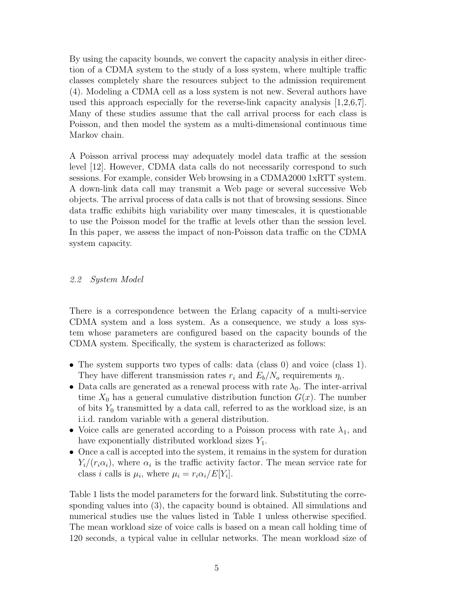By using the capacity bounds, we convert the capacity analysis in either direction of a CDMA system to the study of a loss system, where multiple traffic classes completely share the resources subject to the admission requirement (4). Modeling a CDMA cell as a loss system is not new. Several authors have used this approach especially for the reverse-link capacity analysis  $[1,2,6,7]$ . Many of these studies assume that the call arrival process for each class is Poisson, and then model the system as a multi-dimensional continuous time Markov chain.

A Poisson arrival process may adequately model data traffic at the session level [12]. However, CDMA data calls do not necessarily correspond to such sessions. For example, consider Web browsing in a CDMA2000 1xRTT system. A down-link data call may transmit a Web page or several successive Web objects. The arrival process of data calls is not that of browsing sessions. Since data traffic exhibits high variability over many timescales, it is questionable to use the Poisson model for the traffic at levels other than the session level. In this paper, we assess the impact of non-Poisson data traffic on the CDMA system capacity.

#### 2.2 System Model

There is a correspondence between the Erlang capacity of a multi-service CDMA system and a loss system. As a consequence, we study a loss system whose parameters are configured based on the capacity bounds of the CDMA system. Specifically, the system is characterized as follows:

- The system supports two types of calls: data (class 0) and voice (class 1). They have different transmission rates  $r_i$  and  $E_b/N_o$  requirements  $\eta_i$ .
- Data calls are generated as a renewal process with rate  $\lambda_0$ . The inter-arrival time  $X_0$  has a general cumulative distribution function  $G(x)$ . The number of bits  $Y_0$  transmitted by a data call, referred to as the workload size, is an i.i.d. random variable with a general distribution.
- Voice calls are generated according to a Poisson process with rate  $\lambda_1$ , and have exponentially distributed workload sizes  $Y_1$ .
- Once a call is accepted into the system, it remains in the system for duration  $Y_i/(r_i\alpha_i)$ , where  $\alpha_i$  is the traffic activity factor. The mean service rate for class *i* calls is  $\mu_i$ , where  $\mu_i = r_i \alpha_i / E[Y_i]$ .

Table 1 lists the model parameters for the forward link. Substituting the corresponding values into (3), the capacity bound is obtained. All simulations and numerical studies use the values listed in Table 1 unless otherwise specified. The mean workload size of voice calls is based on a mean call holding time of 120 seconds, a typical value in cellular networks. The mean workload size of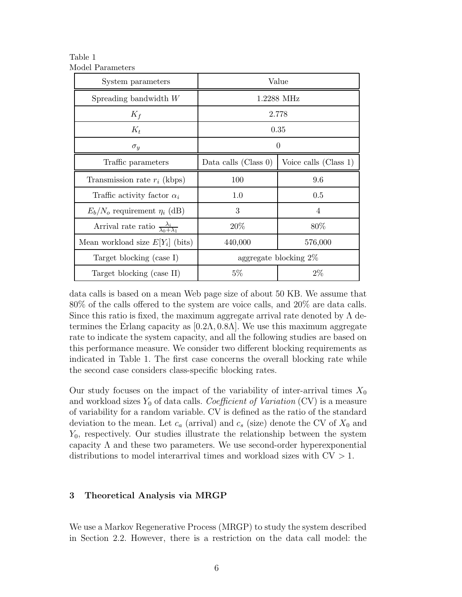Table 1 Model Parameters

| System parameters                                            | Value                    |                       |
|--------------------------------------------------------------|--------------------------|-----------------------|
| Spreading bandwidth $W$                                      | 1.2288 MHz               |                       |
| $K_f$                                                        | 2.778                    |                       |
| $K_t$                                                        | 0.35                     |                       |
| $\sigma_y$                                                   | 0                        |                       |
| Traffic parameters                                           | Data calls (Class $0$ )  | Voice calls (Class 1) |
| Transmission rate $r_i$ (kbps)                               | 100                      | 9.6                   |
| Traffic activity factor $\alpha_i$                           | 1.0                      | 0.5                   |
| $E_b/N_o$ requirement $\eta_i$ (dB)                          | 3                        | 4                     |
| Arrival rate ratio $\frac{\lambda_i}{\lambda_0 + \lambda_1}$ | $20\%$                   | 80\%                  |
| Mean workload size $E[Y_i]$ (bits)                           | 440,000                  | 576,000               |
| Target blocking (case I)                                     | aggregate blocking $2\%$ |                       |
| Target blocking (case II)                                    | $5\%$                    | $2\%$                 |

data calls is based on a mean Web page size of about 50 KB. We assume that 80% of the calls offered to the system are voice calls, and 20% are data calls. Since this ratio is fixed, the maximum aggregate arrival rate denoted by  $\Lambda$  determines the Erlang capacity as  $[0.2\Lambda, 0.8\Lambda]$ . We use this maximum aggregate rate to indicate the system capacity, and all the following studies are based on this performance measure. We consider two different blocking requirements as indicated in Table 1. The first case concerns the overall blocking rate while the second case considers class-specific blocking rates.

Our study focuses on the impact of the variability of inter-arrival times  $X_0$ and workload sizes  $Y_0$  of data calls. Coefficient of Variation (CV) is a measure of variability for a random variable. CV is defined as the ratio of the standard deviation to the mean. Let  $c_a$  (arrival) and  $c_s$  (size) denote the CV of  $X_0$  and  $Y_0$ , respectively. Our studies illustrate the relationship between the system capacity  $\Lambda$  and these two parameters. We use second-order hyperexponential distributions to model interarrival times and workload sizes with  $CV > 1$ .

# 3 Theoretical Analysis via MRGP

We use a Markov Regenerative Process (MRGP) to study the system described in Section 2.2. However, there is a restriction on the data call model: the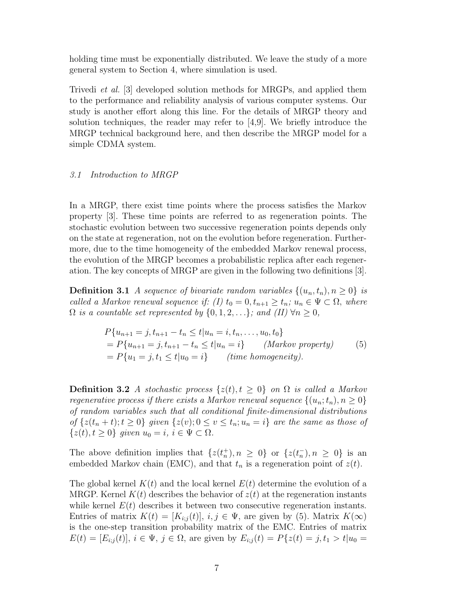holding time must be exponentially distributed. We leave the study of a more general system to Section 4, where simulation is used.

Trivedi et al. [3] developed solution methods for MRGPs, and applied them to the performance and reliability analysis of various computer systems. Our study is another effort along this line. For the details of MRGP theory and solution techniques, the reader may refer to  $[4,9]$ . We briefly introduce the MRGP technical background here, and then describe the MRGP model for a simple CDMA system.

#### 3.1 Introduction to MRGP

In a MRGP, there exist time points where the process satisfies the Markov property [3]. These time points are referred to as regeneration points. The stochastic evolution between two successive regeneration points depends only on the state at regeneration, not on the evolution before regeneration. Furthermore, due to the time homogeneity of the embedded Markov renewal process, the evolution of the MRGP becomes a probabilistic replica after each regeneration. The key concepts of MRGP are given in the following two definitions [3].

**Definition 3.1** A sequence of bivariate random variables  $\{(u_n,t_n), n \geq 0\}$  is called a Markov renewal sequence if: (I)  $t_0 = 0, t_{n+1} \geq t_n$ ;  $u_n \in \Psi \subset \Omega$ , where  $\Omega$  is a countable set represented by  $\{0, 1, 2, \ldots\}$ ; and  $(II)$   $\forall n \geq 0$ ,

$$
P\{u_{n+1} = j, t_{n+1} - t_n \le t | u_n = i, t_n, \dots, u_0, t_0\}
$$
  
= 
$$
P\{u_{n+1} = j, t_{n+1} - t_n \le t | u_n = i\}
$$
 (*Markov property*) (5)  
= 
$$
P\{u_1 = j, t_1 \le t | u_0 = i\}
$$
 (*time homogeneity*).

**Definition 3.2** A stochastic process  $\{z(t), t \geq 0\}$  on  $\Omega$  is called a Markov regenerative process if there exists a Markov renewal sequence  $\{(u_n; t_n), n \geq 0\}$ of random variables such that all conditional finite-dimensional distributions of  $\{z(t_n + t); t \ge 0\}$  given  $\{z(v); 0 \le v \le t_n; u_n = i\}$  are the same as those of  $\{z(t), t \geq 0\}$  given  $u_0 = i, i \in \Psi \subset \Omega$ .

The above definition implies that  $\{z(t_n^+), n \geq 0\}$  or  $\{z(t_n^-), n \geq 0\}$  is an embedded Markov chain (EMC), and that  $t_n$  is a regeneration point of  $z(t)$ .

The global kernel  $K(t)$  and the local kernel  $E(t)$  determine the evolution of a MRGP. Kernel  $K(t)$  describes the behavior of  $z(t)$  at the regeneration instants while kernel  $E(t)$  describes it between two consecutive regeneration instants. Entries of matrix  $K(t) = [K_{i,j}(t)], i, j \in \Psi$ , are given by (5). Matrix  $K(\infty)$ is the one-step transition probability matrix of the EMC. Entries of matrix  $E(t) = [E_{i,j}(t)], i \in \Psi, j \in \Omega$ , are given by  $E_{i,j}(t) = P\{z(t) = j, t_1 > t | u_0 =$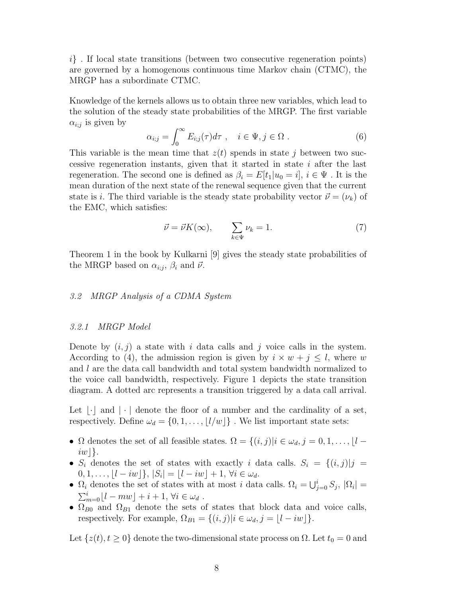$i$ . If local state transitions (between two consecutive regeneration points) are governed by a homogenous continuous time Markov chain (CTMC), the MRGP has a subordinate CTMC.

Knowledge of the kernels allows us to obtain three new variables, which lead to the solution of the steady state probabilities of the MRGP. The first variable  $\alpha_{i;j}$  is given by

$$
\alpha_{i;j} = \int_0^\infty E_{i;j}(\tau)d\tau \ , \quad i \in \Psi, j \in \Omega \ . \tag{6}
$$

This variable is the mean time that  $z(t)$  spends in state j between two successive regeneration instants, given that it started in state  $i$  after the last regeneration. The second one is defined as  $\beta_i = E[t_1|u_0 = i], i \in \Psi$ . It is the mean duration of the next state of the renewal sequence given that the current state is i. The third variable is the steady state probability vector  $\vec{\nu} = (\nu_k)$  of the EMC, which satisfies:

$$
\vec{\nu} = \vec{\nu} K(\infty), \qquad \sum_{k \in \Psi} \nu_k = 1. \tag{7}
$$

Theorem 1 in the book by Kulkarni [9] gives the steady state probabilities of the MRGP based on  $\alpha_{i;j}, \beta_i$  and  $\vec{\nu}$ .

#### 3.2 MRGP Analysis of a CDMA System

#### 3.2.1 MRGP Model

Denote by  $(i, j)$  a state with i data calls and j voice calls in the system. According to (4), the admission region is given by  $i \times w + j \leq l$ , where w and l are the data call bandwidth and total system bandwidth normalized to the voice call bandwidth, respectively. Figure 1 depicts the state transition diagram. A dotted arc represents a transition triggered by a data call arrival.

Let  $|\cdot|$  and  $|\cdot|$  denote the floor of a number and the cardinality of a set, respectively. Define  $\omega_d = \{0, 1, ..., \lfloor l/w \rfloor\}$ . We list important state sets:

- $\Omega$  denotes the set of all feasible states.  $\Omega = \{(i, j)|i \in \omega_d, j = 0, 1, \ldots, |l j| \}$  $iw$ }.
- $S_i$  denotes the set of states with exactly i data calls.  $S_i = \{(i, j)|j =$  $[0, 1, \ldots, \lfloor l - iw \rfloor], |S_i| = \lfloor l - iw \rfloor + 1, \forall i \in \omega_d.$
- $\Omega_i$  denotes the set of states with at most *i* data calls.  $\Omega_i = \bigcup_{j=0}^i S_j$ ,  $|\Omega_i|$  =  $\sum_{m=0}^{i} \lfloor l - mw \rfloor + i + 1, \forall i \in \omega_d.$
- $\Omega_{B0}$  and  $\Omega_{B1}$  denote the sets of states that block data and voice calls, respectively. For example,  $\Omega_{B1} = \{(i, j)|i \in \omega_d, j = \lfloor l - iw \rfloor\}.$

Let  $\{z(t), t \geq 0\}$  denote the two-dimensional state process on  $\Omega$ . Let  $t_0 = 0$  and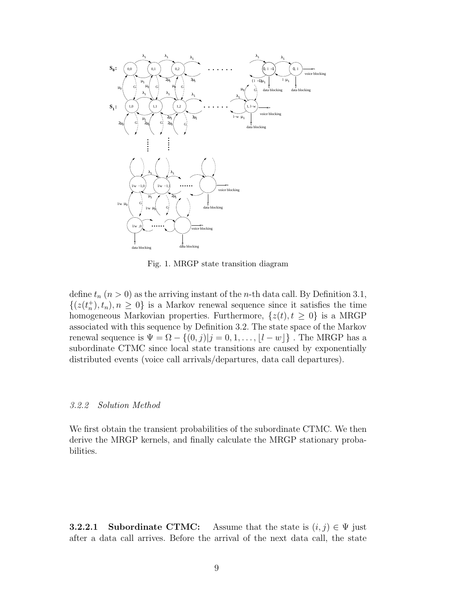

Fig. 1. MRGP state transition diagram

define  $t_n$   $(n > 0)$  as the arriving instant of the *n*-th data call. By Definition 3.1,  $\{(z(t_n^+), t_n), n \geq 0\}$  is a Markov renewal sequence since it satisfies the time homogeneous Markovian properties. Furthermore,  $\{z(t), t \geq 0\}$  is a MRGP associated with this sequence by Definition 3.2. The state space of the Markov renewal sequence is  $\Psi = \Omega - \{(0, j)|j = 0, 1, \ldots, \lfloor l - w \rfloor\}$ . The MRGP has a subordinate CTMC since local state transitions are caused by exponentially distributed events (voice call arrivals/departures, data call departures).

#### 3.2.2 Solution Method

We first obtain the transient probabilities of the subordinate CTMC. We then derive the MRGP kernels, and finally calculate the MRGP stationary probabilities.

**3.2.2.1** Subordinate CTMC: Assume that the state is  $(i, j) \in \Psi$  just after a data call arrives. Before the arrival of the next data call, the state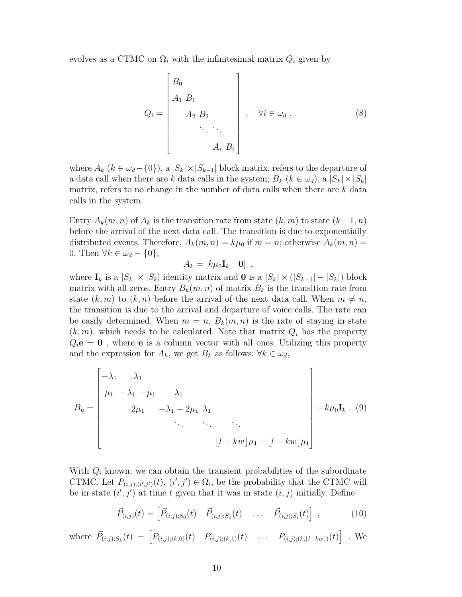evolves as a CTMC on  $\Omega_i$  with the infinitesimal matrix  $Q_i$  given by

$$
Q_i = \begin{bmatrix} B_0 \\ A_1 B_1 \\ A_2 B_2 \\ \vdots \\ A_i B_i \end{bmatrix}, \quad \forall i \in \omega_d ,
$$
 (8)

where  $A_k$  ( $k \in \omega_d-\{0\}$ ), a  $|S_k| \times |S_{k-1}|$  block matrix, refers to the departure of a data call when there are k data calls in the system;  $B_k$  ( $k \in \omega_d$ ), a  $|S_k| \times |S_k|$ matrix, refers to no change in the number of data calls when there are  $k$  data calls in the system.

Entry  $A_k(m, n)$  of  $A_k$  is the transition rate from state  $(k, m)$  to state  $(k-1, n)$ before the arrival of the next data call. The transition is due to exponentially distributed events. Therefore,  $A_k(m, n) = k\mu_0$  if  $m = n$ ; otherwise  $A_k(m, n) =$ 0. Then  $\forall k \in \omega_d - \{0\},\$ 

 $A_k = [k\mu_0 \mathbf{I}_k \quad \mathbf{0}]$ ,

where  $\mathbf{I}_k$  is a  $|S_k| \times |S_k|$  identity matrix and **0** is a  $|S_k| \times (|S_{k-1}| - |S_k|)$  block matrix with all zeros. Entry  $B_k(m, n)$  of matrix  $B_k$  is the transition rate from state  $(k, m)$  to  $(k, n)$  before the arrival of the next data call. When  $m \neq n$ , the transition is due to the arrival and departure of voice calls. The rate can be easily determined. When  $m = n$ ,  $B_k(m, n)$  is the rate of staying in state  $(k, m)$ , which needs to be calculated. Note that matrix  $Q_i$  has the property  $Q_i$ **e** = **0**, where **e** is a column vector with all ones. Utilizing this property and the expression for  $A_k$ , we get  $B_k$  as follows:  $\forall k \in \omega_d$ ,

$$
B_{k} = \begin{bmatrix} -\lambda_{1} & \lambda_{1} & & & \\ \mu_{1} & -\lambda_{1} - \mu_{1} & \lambda_{1} & & \\ & 2\mu_{1} & -\lambda_{1} - 2\mu_{1} \lambda_{1} & & \\ & & \ddots & \ddots & \ddots & \\ & & & & |l - kw|\mu_{1} - [l - kw]\mu_{1} \end{bmatrix} - k\mu_{0} \mathbf{I}_{k} \ . \tag{9}
$$

With  $Q_i$  known, we can obtain the transient probabilities of the subordinate CTMC. Let  $P_{(i,j);(i',j')}(t), (i',j') \in \Omega_i$ , be the probability that the CTMC will be in state  $(i', j')$  at time t given that it was in state  $(i, j)$  initially. Define

$$
\vec{P}_{(i,j)}(t) = \begin{bmatrix} \vec{P}_{(i,j);S_0}(t) & \vec{P}_{(i,j);S_1}(t) & \dots & \vec{P}_{(i,j);S_i}(t) \end{bmatrix},
$$
(10)

where  $\vec{P}_{(i,j);S_k}(t) = \begin{bmatrix} P_{(i,j);(k,0)}(t) & P_{(i,j);(k,1)}(t) & \dots & P_{(i,j);(k,\lfloor l - kw \rfloor)}(t) \end{bmatrix}$ . We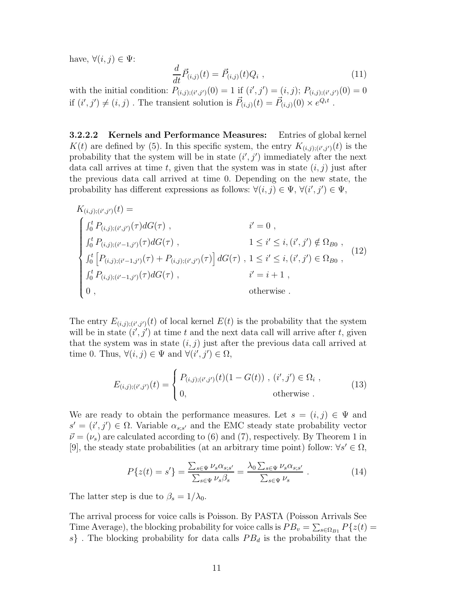have,  $\forall (i, j) \in \Psi$ :

$$
\frac{d}{dt}\vec{P}_{(i,j)}(t) = \vec{P}_{(i,j)}(t)Q_i , \qquad (11)
$$

with the initial condition:  $P_{(i,j);(i',j')}(0) = 1$  if  $(i',j') = (i,j); P_{(i,j);(i',j')}(0) = 0$ if  $(i', j') \neq (i, j)$ . The transient solution is  $\vec{P}_{(i,j)}(t) = \vec{P}_{(i,j)}(0) \times e^{Q_i t}$ .

3.2.2.2 Kernels and Performance Measures: Entries of global kernel  $K(t)$  are defined by (5). In this specific system, the entry  $K_{(i,j);(i',j')}(t)$  is the probability that the system will be in state  $(i', j')$  immediately after the next data call arrives at time t, given that the system was in state  $(i, j)$  just after the previous data call arrived at time 0. Depending on the new state, the probability has different expressions as follows:  $\forall (i, j) \in \Psi, \forall (i', j') \in \Psi$ ,

$$
K_{(i,j);(i',j')}(t) =
$$
\n
$$
\begin{cases}\n\int_0^t P_{(i,j);(i',j')}(\tau) dG(\tau), & i' = 0, \\
\int_0^t P_{(i,j);(i'-1,j')}(\tau) dG(\tau), & 1 \leq i' \leq i, (i',j') \notin \Omega_{B0}, \\
\int_0^t \left[ P_{(i,j);(i'-1,j')}(\tau) + P_{(i,j);(i',j')}(\tau) \right] dG(\tau), & 1 \leq i' \leq i, (i',j') \in \Omega_{B0}, \\
\int_0^t P_{(i,j);(i'-1,j')}(\tau) dG(\tau), & i' = i + 1, \\
0, & \text{otherwise.}\n\end{cases}
$$
\n(12)

The entry  $E_{(i,j);(i',j')}(t)$  of local kernel  $E(t)$  is the probability that the system will be in state  $(i', j')$  at time t and the next data call will arrive after t, given that the system was in state  $(i, j)$  just after the previous data call arrived at time 0. Thus,  $\forall (i, j) \in \Psi$  and  $\forall (i', j') \in \Omega$ ,

$$
E_{(i,j);(i',j')}(t) = \begin{cases} P_{(i,j);(i',j')}(t)(1 - G(t)) , (i',j') \in \Omega_i , \\ 0, \qquad \text{otherwise} . \end{cases}
$$
(13)

We are ready to obtain the performance measures. Let  $s = (i, j) \in \Psi$  and  $s' = (i', j') \in \Omega$ . Variable  $\alpha_{s,s'}$  and the EMC steady state probability vector  $\vec{\nu} = (\nu_s)$  are calculated according to (6) and (7), respectively. By Theorem 1 in [9], the steady state probabilities (at an arbitrary time point) follow:  $\forall s' \in \Omega$ ,

$$
P\{z(t) = s'\} = \frac{\sum_{s \in \Psi} \nu_s \alpha_{s;s'}}{\sum_{s \in \Psi} \nu_s \beta_s} = \frac{\lambda_0 \sum_{s \in \Psi} \nu_s \alpha_{s;s'}}{\sum_{s \in \Psi} \nu_s} \ . \tag{14}
$$

The latter step is due to  $\beta_s = 1/\lambda_0$ .

The arrival process for voice calls is Poisson. By PASTA (Poisson Arrivals See Time Average), the blocking probability for voice calls is  $PB_v = \sum_{s \in \Omega_{B1}} P\{z(t) =$  $s$ . The blocking probability for data calls  $PB_d$  is the probability that the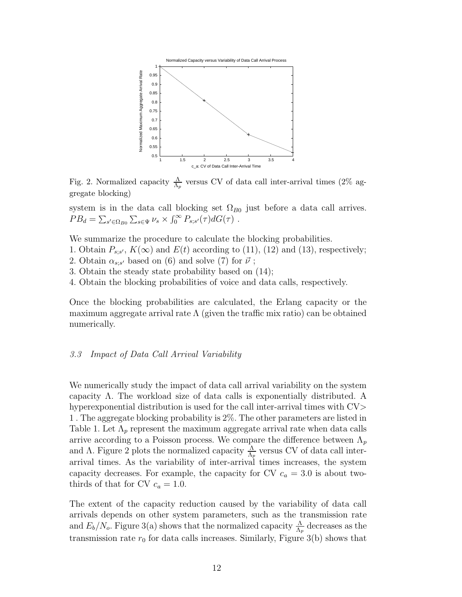

Fig. 2. Normalized capacity  $\frac{\Lambda}{\Lambda}$  $\frac{\Lambda}{\Lambda_p}$  versus CV of data call inter-arrival times (2% aggregate blocking)

system is in the data call blocking set  $\Omega_{B0}$  just before a data call arrives.  $PB_d = \sum_{s' \in \Omega_{B0}} \sum_{s \in \Psi} \nu_s \times \int_0^\infty P_{s;s'}(\tau) dG(\tau)$ .

We summarize the procedure to calculate the blocking probabilities.

- 1. Obtain  $P_{s;s'}$ ,  $K(\infty)$  and  $E(t)$  according to (11), (12) and (13), respectively;
- 2. Obtain  $\alpha_{s;s'}$  based on (6) and solve (7) for  $\vec{\nu}$ ;
- 3. Obtain the steady state probability based on (14);
- 4. Obtain the blocking probabilities of voice and data calls, respectively.

Once the blocking probabilities are calculated, the Erlang capacity or the maximum aggregate arrival rate  $\Lambda$  (given the traffic mix ratio) can be obtained numerically.

#### 3.3 Impact of Data Call Arrival Variability

We numerically study the impact of data call arrival variability on the system capacity Λ. The workload size of data calls is exponentially distributed. A hyperexponential distribution is used for the call inter-arrival times with CV> 1 . The aggregate blocking probability is 2%. The other parameters are listed in Table 1. Let  $\Lambda_p$  represent the maximum aggregate arrival rate when data calls arrive according to a Poisson process. We compare the difference between  $\Lambda_p$ and  $\Lambda$ . Figure 2 plots the normalized capacity  $\frac{\Lambda}{\Lambda}$  $\frac{\Lambda}{\Lambda_p}$  versus CV of data call interarrival times. As the variability of inter-arrival times increases, the system capacity decreases. For example, the capacity for CV  $c_a = 3.0$  is about twothirds of that for CV  $c_a = 1.0$ .

The extent of the capacity reduction caused by the variability of data call arrivals depends on other system parameters, such as the transmission rate and  $E_b/N_o$ . Figure 3(a) shows that the normalized capacity  $\frac{\Lambda}{\Lambda_o}$  $\frac{\Lambda}{\Lambda_p}$  decreases as the transmission rate  $r_0$  for data calls increases. Similarly, Figure 3(b) shows that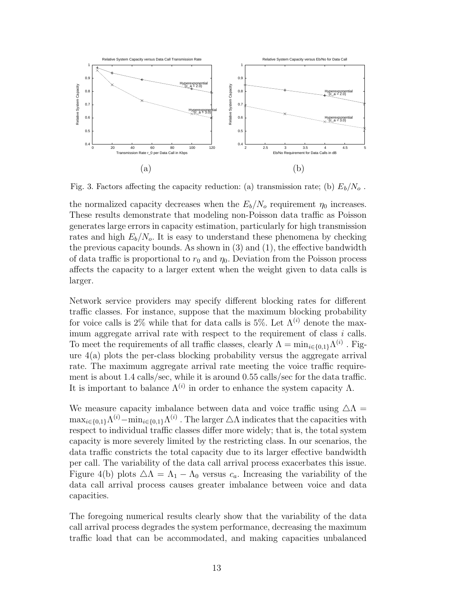

Fig. 3. Factors affecting the capacity reduction: (a) transmission rate; (b)  $E_b/N_o$ .

the normalized capacity decreases when the  $E_b/N_o$  requirement  $\eta_0$  increases. These results demonstrate that modeling non-Poisson data traffic as Poisson generates large errors in capacity estimation, particularly for high transmission rates and high  $E_b/N_o$ . It is easy to understand these phenomena by checking the previous capacity bounds. As shown in (3) and (1), the effective bandwidth of data traffic is proportional to  $r_0$  and  $\eta_0$ . Deviation from the Poisson process affects the capacity to a larger extent when the weight given to data calls is larger.

Network service providers may specify different blocking rates for different traffic classes. For instance, suppose that the maximum blocking probability for voice calls is  $2\%$  while that for data calls is 5%. Let  $\Lambda^{(i)}$  denote the maximum aggregate arrival rate with respect to the requirement of class  $i$  calls. To meet the requirements of all traffic classes, clearly  $\Lambda = \min_{i \in \{0,1\}} \Lambda^{(i)}$ . Figure 4(a) plots the per-class blocking probability versus the aggregate arrival rate. The maximum aggregate arrival rate meeting the voice traffic requirement is about 1.4 calls/sec, while it is around 0.55 calls/sec for the data traffic. It is important to balance  $\Lambda^{(i)}$  in order to enhance the system capacity  $\Lambda$ .

We measure capacity imbalance between data and voice traffic using  $\Delta\Lambda$  =  $\max_{i \in \{0,1\}} \Lambda^{(i)} - \min_{i \in \{0,1\}} \Lambda^{(i)}$ . The larger  $\triangle \Lambda$  indicates that the capacities with respect to individual traffic classes differ more widely; that is, the total system capacity is more severely limited by the restricting class. In our scenarios, the data traffic constricts the total capacity due to its larger effective bandwidth per call. The variability of the data call arrival process exacerbates this issue. Figure 4(b) plots  $\Delta \Lambda = \Lambda_1 - \Lambda_0$  versus  $c_a$ . Increasing the variability of the data call arrival process causes greater imbalance between voice and data capacities.

The foregoing numerical results clearly show that the variability of the data call arrival process degrades the system performance, decreasing the maximum traffic load that can be accommodated, and making capacities unbalanced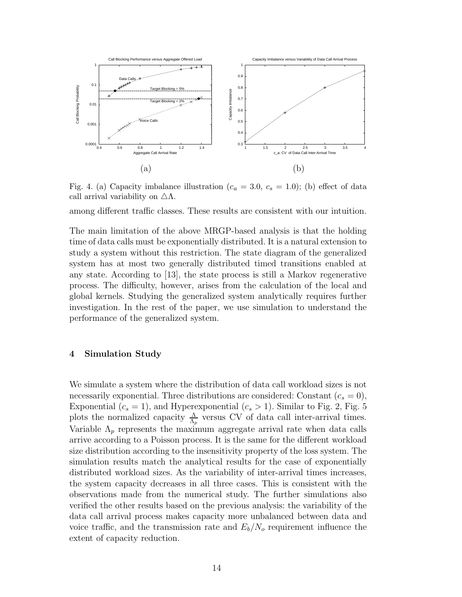

Fig. 4. (a) Capacity imbalance illustration ( $c_a = 3.0, c_s = 1.0$ ); (b) effect of data call arrival variability on  $\triangle \Lambda$ .

among different traffic classes. These results are consistent with our intuition.

The main limitation of the above MRGP-based analysis is that the holding time of data calls must be exponentially distributed. It is a natural extension to study a system without this restriction. The state diagram of the generalized system has at most two generally distributed timed transitions enabled at any state. According to [13], the state process is still a Markov regenerative process. The difficulty, however, arises from the calculation of the local and global kernels. Studying the generalized system analytically requires further investigation. In the rest of the paper, we use simulation to understand the performance of the generalized system.

#### 4 Simulation Study

We simulate a system where the distribution of data call workload sizes is not necessarily exponential. Three distributions are considered: Constant  $(c_s = 0)$ , Exponential  $(c_s = 1)$ , and Hyperexponential  $(c_s > 1)$ . Similar to Fig. 2, Fig. 5 plots the normalized capacity  $\frac{\Lambda}{\Lambda}$  $\frac{\Lambda}{\Lambda_p}$  versus CV of data call inter-arrival times. Variable  $\Lambda_p$  represents the maximum aggregate arrival rate when data calls arrive according to a Poisson process. It is the same for the different workload size distribution according to the insensitivity property of the loss system. The simulation results match the analytical results for the case of exponentially distributed workload sizes. As the variability of inter-arrival times increases, the system capacity decreases in all three cases. This is consistent with the observations made from the numerical study. The further simulations also verified the other results based on the previous analysis: the variability of the data call arrival process makes capacity more unbalanced between data and voice traffic, and the transmission rate and  $E_b/N_o$  requirement influence the extent of capacity reduction.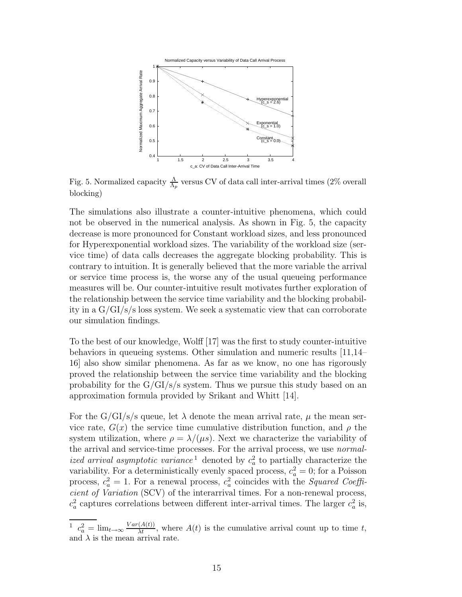

Fig. 5. Normalized capacity  $\frac{\Lambda}{\Lambda}$  $\frac{\Lambda}{\Lambda_p}$  versus CV of data call inter-arrival times (2% overall blocking)

The simulations also illustrate a counter-intuitive phenomena, which could not be observed in the numerical analysis. As shown in Fig. 5, the capacity decrease is more pronounced for Constant workload sizes, and less pronounced for Hyperexponential workload sizes. The variability of the workload size (service time) of data calls decreases the aggregate blocking probability. This is contrary to intuition. It is generally believed that the more variable the arrival or service time process is, the worse any of the usual queueing performance measures will be. Our counter-intuitive result motivates further exploration of the relationship between the service time variability and the blocking probability in a G/GI/s/s loss system. We seek a systematic view that can corroborate our simulation findings.

To the best of our knowledge, Wolff [17] was the first to study counter-intuitive behaviors in queueing systems. Other simulation and numeric results [11,14– 16] also show similar phenomena. As far as we know, no one has rigorously proved the relationship between the service time variability and the blocking probability for the G/GI/s/s system. Thus we pursue this study based on an approximation formula provided by Srikant and Whitt [14].

For the G/GI/s/s queue, let  $\lambda$  denote the mean arrival rate,  $\mu$  the mean service rate,  $G(x)$  the service time cumulative distribution function, and  $\rho$  the system utilization, where  $\rho = \lambda/(\mu s)$ . Next we characterize the variability of the arrival and service-time processes. For the arrival process, we use normalized arrival asymptotic variance<sup>1</sup> denoted by  $c_a^2$  to partially characterize the variability. For a deterministically evenly spaced process,  $c_a^2 = 0$ ; for a Poisson process,  $c_a^2 = 1$ . For a renewal process,  $c_a^2$  coincides with the *Squared Coeffi*cient of Variation (SCV) of the interarrival times. For a non-renewal process,  $c_a^2$  captures correlations between different inter-arrival times. The larger  $c_a^2$  is,

 $\int_0^1 c_a^2 = \lim_{t \to \infty} \frac{Var(A(t))}{\lambda t}$ , where  $A(t)$  is the cumulative arrival count up to time t, and  $\lambda$  is the mean arrival rate.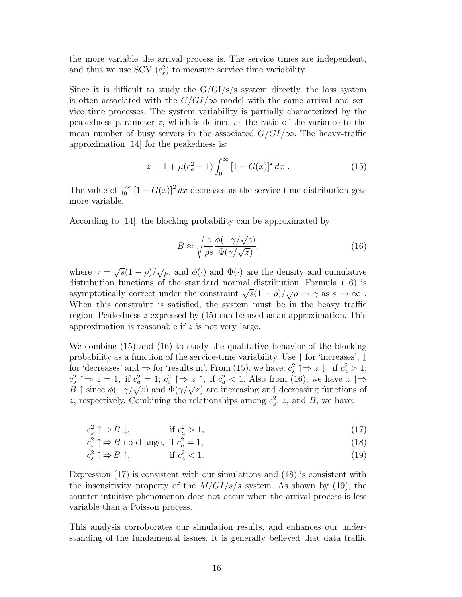the more variable the arrival process is. The service times are independent, and thus we use SCV  $(c_s^2)$  to measure service time variability.

Since it is difficult to study the  $G/GI/s/s$  system directly, the loss system is often associated with the  $G/GI/\infty$  model with the same arrival and service time processes. The system variability is partially characterized by the peakedness parameter z, which is defined as the ratio of the variance to the mean number of busy servers in the associated  $G/GI/\infty$ . The heavy-traffic approximation [14] for the peakedness is:

$$
z = 1 + \mu(c_a^2 - 1) \int_0^\infty [1 - G(x)]^2 dx . \tag{15}
$$

The value of  $\int_0^\infty [1 - G(x)]^2 dx$  decreases as the service time distribution gets more variable.

According to [14], the blocking probability can be approximated by:

$$
B \approx \sqrt{\frac{z}{\rho s}} \frac{\phi(-\gamma/\sqrt{z})}{\Phi(\gamma/\sqrt{z})},\tag{16}
$$

where  $\gamma = \sqrt{s}(1-\rho)/\sqrt{\rho}$ , and  $\phi(\cdot)$  and  $\Phi(\cdot)$  are the density and cumulative distribution functions of the standard normal distribution. Formula (16) is asymptotically correct under the constraint  $\sqrt{s}(1-\rho)/\sqrt{\rho} \to \gamma$  as  $s \to \infty$ . When this constraint is satisfied, the system must be in the heavy traffic region. Peakedness z expressed by  $(15)$  can be used as an approximation. This approximation is reasonable if z is not very large.

We combine (15) and (16) to study the qualitative behavior of the blocking probability as a function of the service-time variability. Use  $\uparrow$  for 'increases',  $\downarrow$ for 'decreases' and  $\Rightarrow$  for 'results in'. From (15), we have:  $c_s^2 \uparrow \Rightarrow z \downarrow$ , if  $c_a^2 > 1$ ;  $c_s^2 \uparrow \Rightarrow z = 1$ , if  $c_a^2 = 1$ ;  $c_s^2 \uparrow \Rightarrow z \uparrow$ , if  $c_a^2 < 1$ . Also from (16), we have  $z \uparrow \Rightarrow z$  $B \uparrow$  since  $\phi(-\gamma/\sqrt{z})$  and  $\Phi(\gamma/\sqrt{z})$  are increasing and decreasing functions of z, respectively. Combining the relationships among  $c_s^2$ , z, and B, we have:

$$
c_s^2 \uparrow \Rightarrow B \downarrow, \qquad \text{if } c_a^2 > 1,\tag{17}
$$

$$
c_s^2 \uparrow \Rightarrow B \text{ no change, if } c_a^2 = 1,
$$
\n
$$
(18)
$$

$$
c_s^2 \uparrow \Rightarrow B \uparrow, \qquad \text{if } c_a^2 < 1. \tag{19}
$$

Expression (17) is consistent with our simulations and (18) is consistent with the insensitivity property of the  $M/GI/s/s$  system. As shown by (19), the counter-intuitive phenomenon does not occur when the arrival process is less variable than a Poisson process.

This analysis corroborates our simulation results, and enhances our understanding of the fundamental issues. It is generally believed that data traffic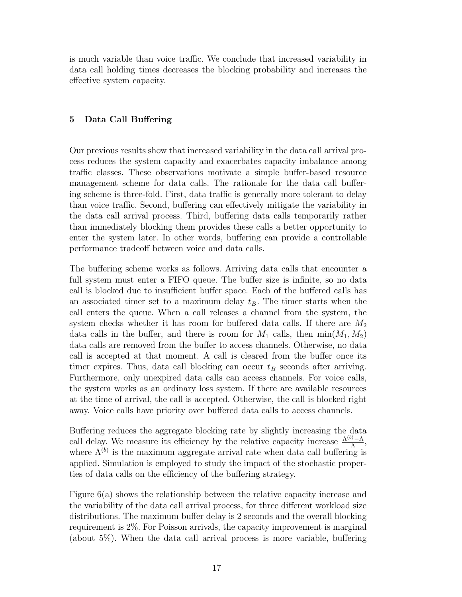is much variable than voice traffic. We conclude that increased variability in data call holding times decreases the blocking probability and increases the effective system capacity.

# 5 Data Call Buffering

Our previous results show that increased variability in the data call arrival process reduces the system capacity and exacerbates capacity imbalance among traffic classes. These observations motivate a simple buffer-based resource management scheme for data calls. The rationale for the data call buffering scheme is three-fold. First, data traffic is generally more tolerant to delay than voice traffic. Second, buffering can effectively mitigate the variability in the data call arrival process. Third, buffering data calls temporarily rather than immediately blocking them provides these calls a better opportunity to enter the system later. In other words, buffering can provide a controllable performance tradeoff between voice and data calls.

The buffering scheme works as follows. Arriving data calls that encounter a full system must enter a FIFO queue. The buffer size is infinite, so no data call is blocked due to insufficient buffer space. Each of the buffered calls has an associated timer set to a maximum delay  $t_B$ . The timer starts when the call enters the queue. When a call releases a channel from the system, the system checks whether it has room for buffered data calls. If there are  $M_2$ data calls in the buffer, and there is room for  $M_1$  calls, then  $\min(M_1, M_2)$ data calls are removed from the buffer to access channels. Otherwise, no data call is accepted at that moment. A call is cleared from the buffer once its timer expires. Thus, data call blocking can occur  $t_B$  seconds after arriving. Furthermore, only unexpired data calls can access channels. For voice calls, the system works as an ordinary loss system. If there are available resources at the time of arrival, the call is accepted. Otherwise, the call is blocked right away. Voice calls have priority over buffered data calls to access channels.

Buffering reduces the aggregate blocking rate by slightly increasing the data call delay. We measure its efficiency by the relative capacity increase  $\frac{\Lambda^{(b)}-\Lambda}{\Lambda}$ , where  $\Lambda^{(b)}$  is the maximum aggregate arrival rate when data call buffering is applied. Simulation is employed to study the impact of the stochastic properties of data calls on the efficiency of the buffering strategy.

Figure 6(a) shows the relationship between the relative capacity increase and the variability of the data call arrival process, for three different workload size distributions. The maximum buffer delay is 2 seconds and the overall blocking requirement is 2%. For Poisson arrivals, the capacity improvement is marginal (about 5%). When the data call arrival process is more variable, buffering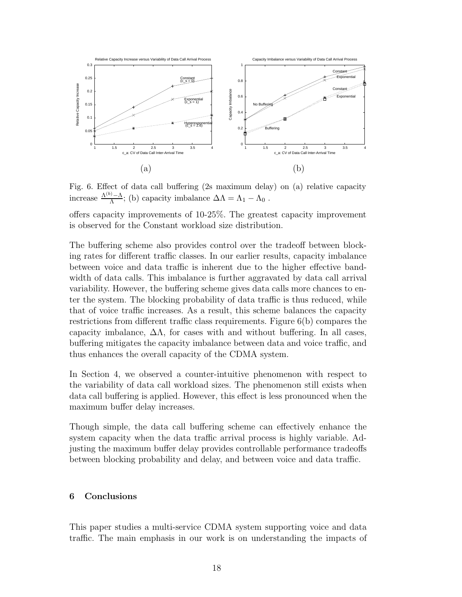

Fig. 6. Effect of data call buffering (2s maximum delay) on (a) relative capacity increase  $\frac{\Lambda^{(b)} - \Lambda}{\Lambda}$ ; (b) capacity imbalance  $\Delta\Lambda = \Lambda_1 - \Lambda_0$ .

offers capacity improvements of 10-25%. The greatest capacity improvement is observed for the Constant workload size distribution.

The buffering scheme also provides control over the tradeoff between blocking rates for different traffic classes. In our earlier results, capacity imbalance between voice and data traffic is inherent due to the higher effective bandwidth of data calls. This imbalance is further aggravated by data call arrival variability. However, the buffering scheme gives data calls more chances to enter the system. The blocking probability of data traffic is thus reduced, while that of voice traffic increases. As a result, this scheme balances the capacity restrictions from different traffic class requirements. Figure 6(b) compares the capacity imbalance,  $\Delta\Lambda$ , for cases with and without buffering. In all cases, buffering mitigates the capacity imbalance between data and voice traffic, and thus enhances the overall capacity of the CDMA system.

In Section 4, we observed a counter-intuitive phenomenon with respect to the variability of data call workload sizes. The phenomenon still exists when data call buffering is applied. However, this effect is less pronounced when the maximum buffer delay increases.

Though simple, the data call buffering scheme can effectively enhance the system capacity when the data traffic arrival process is highly variable. Adjusting the maximum buffer delay provides controllable performance tradeoffs between blocking probability and delay, and between voice and data traffic.

#### 6 Conclusions

This paper studies a multi-service CDMA system supporting voice and data traffic. The main emphasis in our work is on understanding the impacts of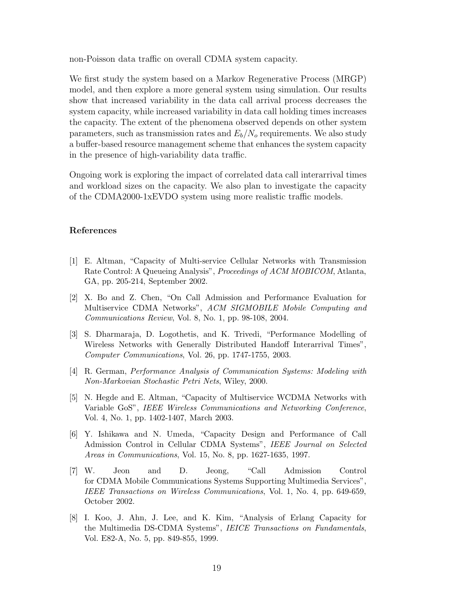non-Poisson data traffic on overall CDMA system capacity.

We first study the system based on a Markov Regenerative Process (MRGP) model, and then explore a more general system using simulation. Our results show that increased variability in the data call arrival process decreases the system capacity, while increased variability in data call holding times increases the capacity. The extent of the phenomena observed depends on other system parameters, such as transmission rates and  $E_b/N_o$  requirements. We also study a buffer-based resource management scheme that enhances the system capacity in the presence of high-variability data traffic.

Ongoing work is exploring the impact of correlated data call interarrival times and workload sizes on the capacity. We also plan to investigate the capacity of the CDMA2000-1xEVDO system using more realistic traffic models.

#### References

- [1] E. Altman, "Capacity of Multi-service Cellular Networks with Transmission Rate Control: A Queueing Analysis", Proceedings of ACM MOBICOM, Atlanta, GA, pp. 205-214, September 2002.
- [2] X. Bo and Z. Chen, "On Call Admission and Performance Evaluation for Multiservice CDMA Networks", ACM SIGMOBILE Mobile Computing and Communications Review, Vol. 8, No. 1, pp. 98-108, 2004.
- [3] S. Dharmaraja, D. Logothetis, and K. Trivedi, "Performance Modelling of Wireless Networks with Generally Distributed Handoff Interarrival Times", Computer Communications, Vol. 26, pp. 1747-1755, 2003.
- [4] R. German, Performance Analysis of Communication Systems: Modeling with Non-Markovian Stochastic Petri Nets, Wiley, 2000.
- [5] N. Hegde and E. Altman, "Capacity of Multiservice WCDMA Networks with Variable GoS", IEEE Wireless Communications and Networking Conference, Vol. 4, No. 1, pp. 1402-1407, March 2003.
- [6] Y. Ishikawa and N. Umeda, "Capacity Design and Performance of Call Admission Control in Cellular CDMA Systems", IEEE Journal on Selected Areas in Communications, Vol. 15, No. 8, pp. 1627-1635, 1997.
- [7] W. Jeon and D. Jeong, "Call Admission Control for CDMA Mobile Communications Systems Supporting Multimedia Services", IEEE Transactions on Wireless Communications, Vol. 1, No. 4, pp. 649-659, October 2002.
- [8] I. Koo, J. Ahn, J. Lee, and K. Kim, "Analysis of Erlang Capacity for the Multimedia DS-CDMA Systems", IEICE Transactions on Fundamentals, Vol. E82-A, No. 5, pp. 849-855, 1999.